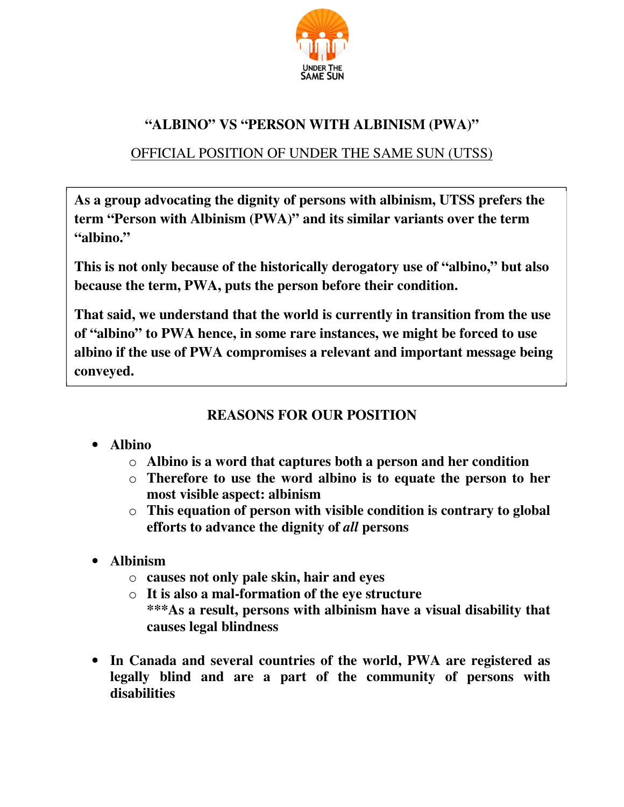

# **"ALBINO" VS "PERSON WITH ALBINISM (PWA)"**

# OFFICIAL POSITION OF UNDER THE SAME SUN (UTSS)

**7 term "Person with Albinism (PWA)" and its similar variants over the term As a group advocating the dignity of persons with albinism, UTSS prefers the "albino."** 

**This is not only because of the historically derogatory use of "albino," but also because the term, PWA, puts the person before their condition.** 

**That said, we understand that the world is currently in transition from the use of "albino" to PWA hence, in some rare instances, we might be forced to use albino if the use of PWA compromises a relevant and important message being conveyed.** 

## **REASONS FOR OUR POSITION**

# • **Albino**

- o **Albino is a word that captures both a person and her condition**
- o **Therefore to use the word albino is to equate the person to her most visible aspect: albinism**
- o **This equation of person with visible condition is contrary to global efforts to advance the dignity of** *all* **persons**
- **Albinism** 
	- o **causes not only pale skin, hair and eyes**
	- o **It is also a mal-formation of the eye structure \*\*\*As a result, persons with albinism have a visual disability that causes legal blindness**
- **In Canada and several countries of the world, PWA are registered as legally blind and are a part of the community of persons with disabilities**